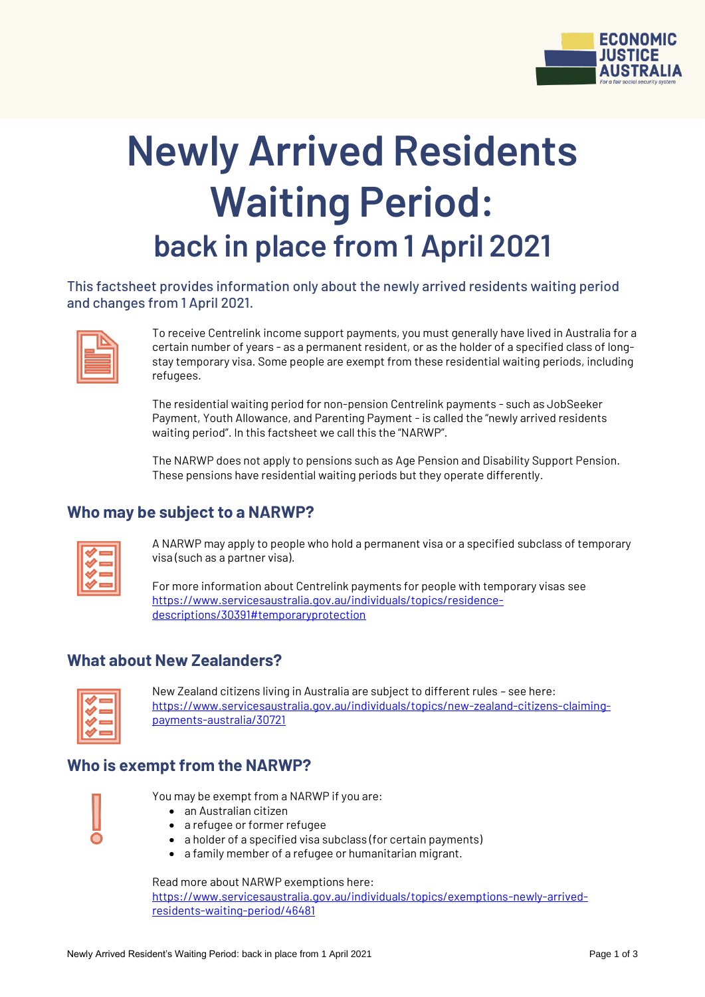

# **Newly Arrived Residents Waiting Period: back in place from 1 April 2021**

This factsheet provides information only about the newly arrived residents waiting period and changes from 1 April 2021.

| _<br>_____       |
|------------------|
| _______<br>_____ |
| _______          |

To receive Centrelink income support payments, you must generally have lived in Australia for a certain number of years - as a permanent resident, or as the holder of a specified class of longstay temporary visa. Some people are exempt from these residential waiting periods, including refugees.

The residential waiting period for non-pension Centrelink payments - such as JobSeeker Payment, Youth Allowance, and Parenting Payment - is called the "newly arrived residents waiting period". In this factsheet we call this the "NARWP".

The NARWP does not apply to pensions such as Age Pension and Disability Support Pension. These pensions have residential waiting periods but they operate differently.

#### **Who may be subject to a NARWP?**

| _  |
|----|
| __ |
| _  |
| _  |
|    |

A NARWP may apply to people who hold a permanent visa or a specified subclass of temporary visa (such as a partner visa).

For more information about Centrelink payments for people with temporary visas see [https://www.servicesaustralia.gov.au/individuals/topics/residence](https://www.servicesaustralia.gov.au/individuals/topics/residence-descriptions/30391#temporaryprotection)[descriptions/30391#temporaryprotection](https://www.servicesaustralia.gov.au/individuals/topics/residence-descriptions/30391#temporaryprotection)

#### **What about New Zealanders?**



New Zealand citizens living in Australia are subject to different rules – see here: [https://www.servicesaustralia.gov.au/individuals/topics/new-zealand-citizens-claiming](https://www.servicesaustralia.gov.au/individuals/topics/new-zealand-citizens-claiming-payments-australia/30721)[payments-australia/30721](https://www.servicesaustralia.gov.au/individuals/topics/new-zealand-citizens-claiming-payments-australia/30721)

## **Who is exempt from the NARWP?**



You may be exempt from a NARWP if you are:

- an Australian citizen
- a refugee or former refugee
- a holder of a specified visa subclass (for certain payments)
- a family member of a refugee or humanitarian migrant.

Read more about NARWP exemptions here:

[https://www.servicesaustralia.gov.au/individuals/topics/exemptions-newly-arrived](https://www.servicesaustralia.gov.au/individuals/topics/exemptions-newly-arrived-residents-waiting-period/46481)[residents-waiting-period/46481](https://www.servicesaustralia.gov.au/individuals/topics/exemptions-newly-arrived-residents-waiting-period/46481)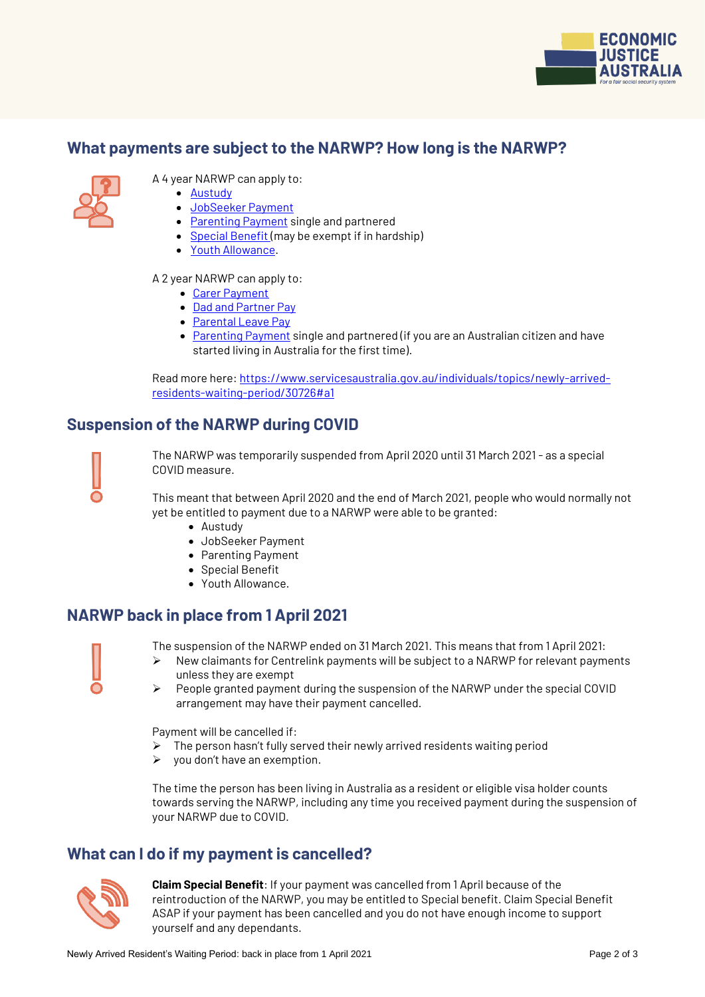

#### **What payments are subject to the NARWP? How long is the NARWP?**



- A 4 year NARWP can apply to:
	- [Austudy](https://www.servicesaustralia.gov.au/individuals/services/centrelink/austudy)
	- [JobSeeker Payment](https://www.servicesaustralia.gov.au/individuals/services/centrelink/jobseeker-payment)
	- [Parenting Payment](https://www.servicesaustralia.gov.au/individuals/services/centrelink/parenting-payment) single and partnered
	- [Special Benefit](https://www.servicesaustralia.gov.au/individuals/services/centrelink/special-benefit) (may be exempt if in hardship)
	- [Youth Allowance.](https://www.servicesaustralia.gov.au/individuals/services/centrelink/youth-allowance)

A 2 year NARWP can apply to:

- [Carer Payment](https://www.servicesaustralia.gov.au/individuals/services/centrelink/carer-payment)
- [Dad and Partner Pay](https://www.servicesaustralia.gov.au/individuals/services/centrelink/dad-and-partner-pay)
- [Parental Leave Pay](https://www.servicesaustralia.gov.au/individuals/services/centrelink/parental-leave-pay)
- [Parenting Payment](https://www.servicesaustralia.gov.au/individuals/services/centrelink/parenting-payment) single and partnered (if you are an Australian citizen and have started living in Australia for the first time).

Read more here[: https://www.servicesaustralia.gov.au/individuals/topics/newly-arrived](https://www.servicesaustralia.gov.au/individuals/topics/newly-arrived-residents-waiting-period/30726#a1)[residents-waiting-period/30726#a1](https://www.servicesaustralia.gov.au/individuals/topics/newly-arrived-residents-waiting-period/30726#a1)

## **Suspension of the NARWP during COVID**



The NARWP was temporarily suspended from April 2020 until 31 March 2021 - as a special COVID measure.

This meant that between April 2020 and the end of March 2021, people who would normally not yet be entitled to payment due to a NARWP were able to be granted:

- Austudy
- JobSeeker Payment
- Parenting Payment
- Special Benefit
- Youth Allowance.

## **NARWP back in place from 1 April 2021**

The suspension of the NARWP ended on 31 March 2021. This means that from 1 April 2021:  $\triangleright$  New claimants for Centrelink payments will be subject to a NARWP for relevant payments

- unless they are exempt
- $\triangleright$  People granted payment during the suspension of the NARWP under the special COVID arrangement may have their payment cancelled.

Payment will be cancelled if:

- The person hasn't fully served their newly arrived residents waiting period
- $\triangleright$  you don't have an exemption.

The time the person has been living in Australia as a resident or eligible visa holder counts towards serving the NARWP, including any time you received payment during the suspension of your NARWP due to COVID.

## **What can I do if my payment is cancelled?**



**Claim Special Benefit**: If your payment was cancelled from 1 April because of the reintroduction of the NARWP, you may be entitled to Special benefit. Claim Special Benefit ASAP if your payment has been cancelled and you do not have enough income to support yourself and any dependants.